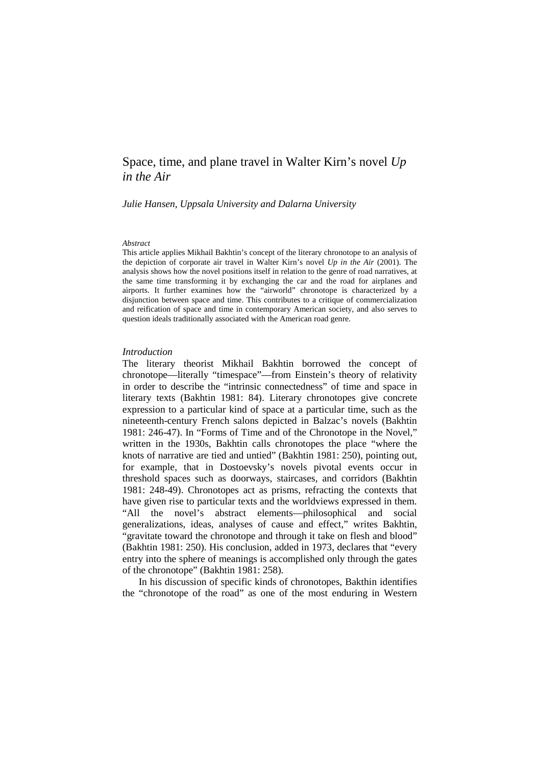# Space, time, and plane travel in Walter Kirn's novel *Up in the Air*

*Julie Hansen, Uppsala University and Dalarna University* 

#### *Abstract*

This article applies Mikhail Bakhtin's concept of the literary chronotope to an analysis of the depiction of corporate air travel in Walter Kirn's novel *Up in the Air* (2001). The analysis shows how the novel positions itself in relation to the genre of road narratives, at the same time transforming it by exchanging the car and the road for airplanes and airports. It further examines how the "airworld" chronotope is characterized by a disjunction between space and time. This contributes to a critique of commercialization and reification of space and time in contemporary American society, and also serves to question ideals traditionally associated with the American road genre.

# *Introduction*

The literary theorist Mikhail Bakhtin borrowed the concept of chronotope—literally "timespace"—from Einstein's theory of relativity in order to describe the "intrinsic connectedness" of time and space in literary texts (Bakhtin 1981: 84). Literary chronotopes give concrete expression to a particular kind of space at a particular time, such as the nineteenth-century French salons depicted in Balzac's novels (Bakhtin 1981: 246-47). In "Forms of Time and of the Chronotope in the Novel," written in the 1930s, Bakhtin calls chronotopes the place "where the knots of narrative are tied and untied" (Bakhtin 1981: 250), pointing out, for example, that in Dostoevsky's novels pivotal events occur in threshold spaces such as doorways, staircases, and corridors (Bakhtin 1981: 248-49). Chronotopes act as prisms, refracting the contexts that have given rise to particular texts and the worldviews expressed in them. "All the novel's abstract elements—philosophical and social generalizations, ideas, analyses of cause and effect," writes Bakhtin, "gravitate toward the chronotope and through it take on flesh and blood" (Bakhtin 1981: 250). His conclusion, added in 1973, declares that "every entry into the sphere of meanings is accomplished only through the gates of the chronotope" (Bakhtin 1981: 258).

In his discussion of specific kinds of chronotopes, Bakthin identifies the "chronotope of the road" as one of the most enduring in Western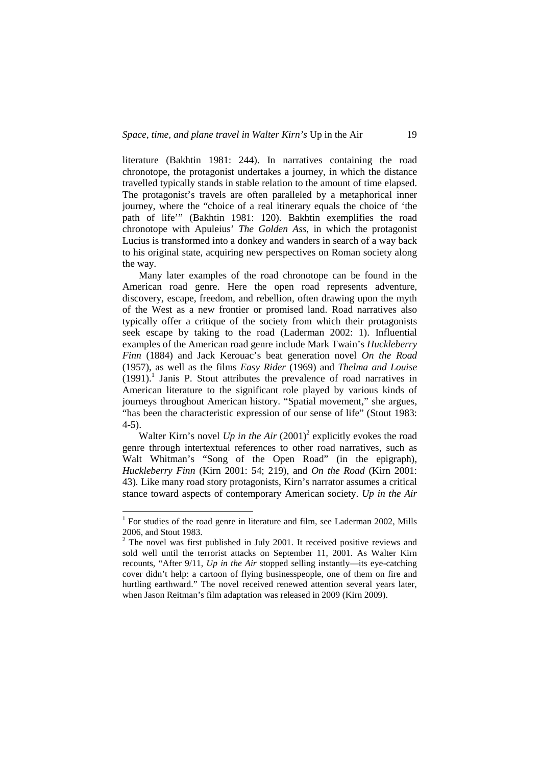literature (Bakhtin 1981: 244). In narratives containing the road chronotope, the protagonist undertakes a journey, in which the distance travelled typically stands in stable relation to the amount of time elapsed. The protagonist's travels are often paralleled by a metaphorical inner journey, where the "choice of a real itinerary equals the choice of 'the path of life'" (Bakhtin 1981: 120). Bakhtin exemplifies the road chronotope with Apuleius' *The Golden Ass*, in which the protagonist Lucius is transformed into a donkey and wanders in search of a way back to his original state, acquiring new perspectives on Roman society along the way.

Many later examples of the road chronotope can be found in the American road genre. Here the open road represents adventure, discovery, escape, freedom, and rebellion, often drawing upon the myth of the West as a new frontier or promised land. Road narratives also typically offer a critique of the society from which their protagonists seek escape by taking to the road (Laderman 2002: 1). Influential examples of the American road genre include Mark Twain's *Huckleberry Finn* (1884) and Jack Kerouac's beat generation novel *On the Road*  (1957), as well as the films *Easy Rider* (1969) and *Thelma and Louise*   $(1991)$ .<sup>1</sup> Janis P. Stout attributes the prevalence of road narratives in American literature to the significant role played by various kinds of journeys throughout American history. "Spatial movement," she argues, "has been the characteristic expression of our sense of life" (Stout 1983: 4-5).

Walter Kirn's novel  $Up$  in the Air  $(2001)^2$  explicitly evokes the road genre through intertextual references to other road narratives, such as Walt Whitman's "Song of the Open Road" (in the epigraph), *Huckleberry Finn* (Kirn 2001: 54; 219), and *On the Road* (Kirn 2001: 43)*.* Like many road story protagonists, Kirn's narrator assumes a critical stance toward aspects of contemporary American society. *Up in the Air*

 $\overline{a}$ 

<sup>&</sup>lt;sup>1</sup> For studies of the road genre in literature and film, see Laderman 2002, Mills 2006, and Stout 1983.

 $2^2$  The novel was first published in July 2001. It received positive reviews and sold well until the terrorist attacks on September 11, 2001. As Walter Kirn recounts, "After 9/11, *Up in the Air* stopped selling instantly—its eye-catching cover didn't help: a cartoon of flying businesspeople, one of them on fire and hurtling earthward." The novel received renewed attention several years later, when Jason Reitman's film adaptation was released in 2009 (Kirn 2009).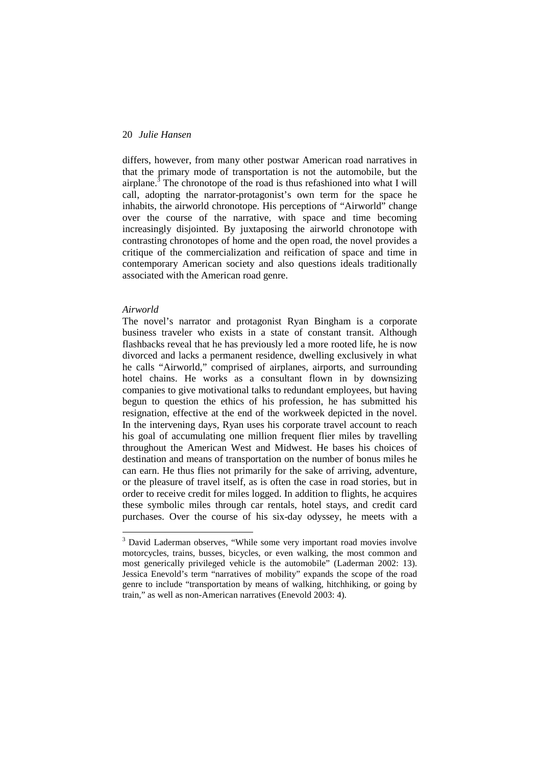differs, however, from many other postwar American road narratives in that the primary mode of transportation is not the automobile, but the airplane.<sup>3</sup> The chronotope of the road is thus refashioned into what I will call, adopting the narrator-protagonist's own term for the space he inhabits, the airworld chronotope. His perceptions of "Airworld" change over the course of the narrative, with space and time becoming increasingly disjointed. By juxtaposing the airworld chronotope with contrasting chronotopes of home and the open road, the novel provides a critique of the commercialization and reification of space and time in contemporary American society and also questions ideals traditionally associated with the American road genre.

#### *Airworld*

 $\overline{a}$ 

The novel's narrator and protagonist Ryan Bingham is a corporate business traveler who exists in a state of constant transit. Although flashbacks reveal that he has previously led a more rooted life, he is now divorced and lacks a permanent residence, dwelling exclusively in what he calls "Airworld," comprised of airplanes, airports, and surrounding hotel chains. He works as a consultant flown in by downsizing companies to give motivational talks to redundant employees, but having begun to question the ethics of his profession, he has submitted his resignation, effective at the end of the workweek depicted in the novel. In the intervening days, Ryan uses his corporate travel account to reach his goal of accumulating one million frequent flier miles by travelling throughout the American West and Midwest. He bases his choices of destination and means of transportation on the number of bonus miles he can earn. He thus flies not primarily for the sake of arriving, adventure, or the pleasure of travel itself, as is often the case in road stories, but in order to receive credit for miles logged. In addition to flights, he acquires these symbolic miles through car rentals, hotel stays, and credit card purchases. Over the course of his six-day odyssey, he meets with a

<sup>&</sup>lt;sup>3</sup> David Laderman observes, "While some very important road movies involve motorcycles, trains, busses, bicycles, or even walking, the most common and most generically privileged vehicle is the automobile" (Laderman 2002: 13). Jessica Enevold's term "narratives of mobility" expands the scope of the road genre to include "transportation by means of walking, hitchhiking, or going by train," as well as non-American narratives (Enevold 2003: 4).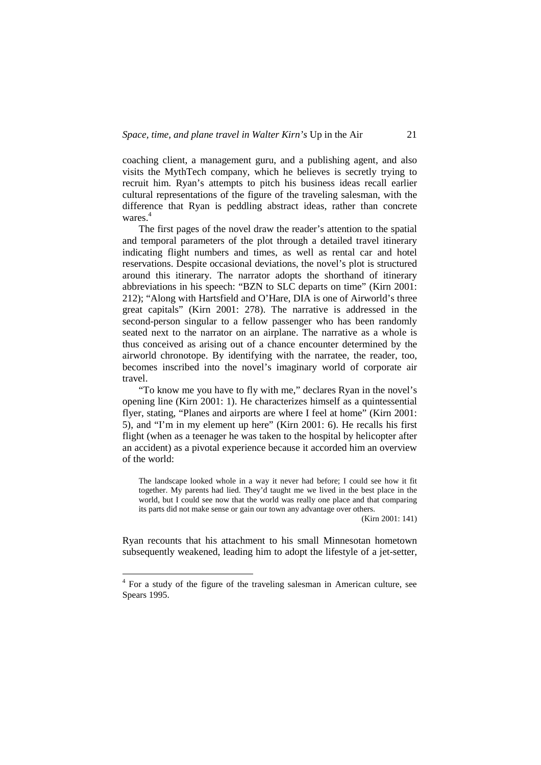coaching client, a management guru, and a publishing agent, and also visits the MythTech company, which he believes is secretly trying to recruit him. Ryan's attempts to pitch his business ideas recall earlier cultural representations of the figure of the traveling salesman, with the difference that Ryan is peddling abstract ideas, rather than concrete wares.<sup>4</sup>

The first pages of the novel draw the reader's attention to the spatial and temporal parameters of the plot through a detailed travel itinerary indicating flight numbers and times, as well as rental car and hotel reservations. Despite occasional deviations, the novel's plot is structured around this itinerary. The narrator adopts the shorthand of itinerary abbreviations in his speech: "BZN to SLC departs on time" (Kirn 2001: 212); "Along with Hartsfield and O'Hare, DIA is one of Airworld's three great capitals" (Kirn 2001: 278). The narrative is addressed in the second-person singular to a fellow passenger who has been randomly seated next to the narrator on an airplane. The narrative as a whole is thus conceived as arising out of a chance encounter determined by the airworld chronotope. By identifying with the narratee, the reader, too, becomes inscribed into the novel's imaginary world of corporate air travel.

"To know me you have to fly with me," declares Ryan in the novel's opening line (Kirn 2001: 1). He characterizes himself as a quintessential flyer, stating, "Planes and airports are where I feel at home" (Kirn 2001: 5), and "I'm in my element up here" (Kirn 2001: 6). He recalls his first flight (when as a teenager he was taken to the hospital by helicopter after an accident) as a pivotal experience because it accorded him an overview of the world:

The landscape looked whole in a way it never had before; I could see how it fit together. My parents had lied. They'd taught me we lived in the best place in the world, but I could see now that the world was really one place and that comparing its parts did not make sense or gain our town any advantage over others.

(Kirn 2001: 141)

Ryan recounts that his attachment to his small Minnesotan hometown subsequently weakened, leading him to adopt the lifestyle of a jet-setter,

 $\overline{a}$ 

<sup>&</sup>lt;sup>4</sup> For a study of the figure of the traveling salesman in American culture, see Spears 1995.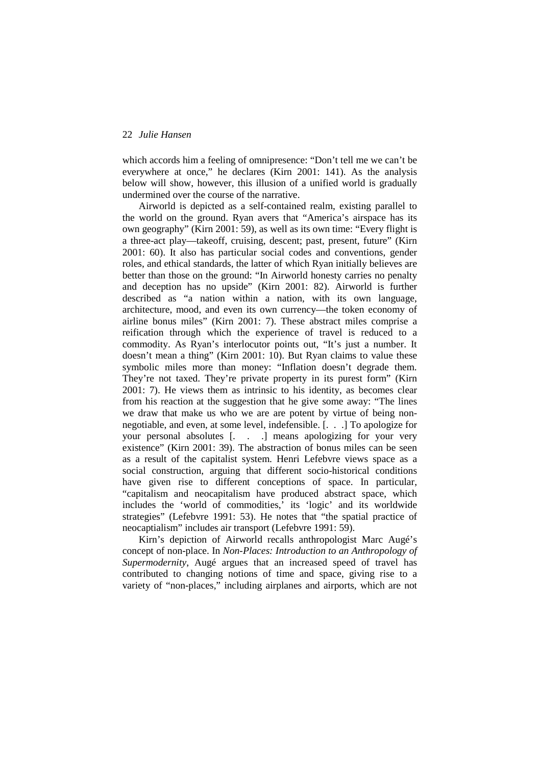which accords him a feeling of omnipresence: "Don't tell me we can't be everywhere at once," he declares (Kirn 2001: 141). As the analysis below will show, however, this illusion of a unified world is gradually undermined over the course of the narrative.

Airworld is depicted as a self-contained realm, existing parallel to the world on the ground. Ryan avers that "America's airspace has its own geography" (Kirn 2001: 59), as well as its own time: "Every flight is a three-act play—takeoff, cruising, descent; past, present, future" (Kirn 2001: 60). It also has particular social codes and conventions, gender roles, and ethical standards, the latter of which Ryan initially believes are better than those on the ground: "In Airworld honesty carries no penalty and deception has no upside" (Kirn 2001: 82). Airworld is further described as "a nation within a nation, with its own language, architecture, mood, and even its own currency—the token economy of airline bonus miles" (Kirn 2001: 7). These abstract miles comprise a reification through which the experience of travel is reduced to a commodity. As Ryan's interlocutor points out, "It's just a number. It doesn't mean a thing" (Kirn 2001: 10). But Ryan claims to value these symbolic miles more than money: "Inflation doesn't degrade them. They're not taxed. They're private property in its purest form" (Kirn 2001: 7). He views them as intrinsic to his identity, as becomes clear from his reaction at the suggestion that he give some away: "The lines we draw that make us who we are are potent by virtue of being nonnegotiable, and even, at some level, indefensible. [. . .] To apologize for your personal absolutes [. . .] means apologizing for your very existence" (Kirn 2001: 39). The abstraction of bonus miles can be seen as a result of the capitalist system. Henri Lefebvre views space as a social construction, arguing that different socio-historical conditions have given rise to different conceptions of space. In particular, "capitalism and neocapitalism have produced abstract space, which includes the 'world of commodities,' its 'logic' and its worldwide strategies" (Lefebvre 1991: 53). He notes that "the spatial practice of neocaptialism" includes air transport (Lefebvre 1991: 59).

Kirn's depiction of Airworld recalls anthropologist Marc Augé's concept of non-place. In *Non-Places: Introduction to an Anthropology of Supermodernity*, Augé argues that an increased speed of travel has contributed to changing notions of time and space, giving rise to a variety of "non-places," including airplanes and airports, which are not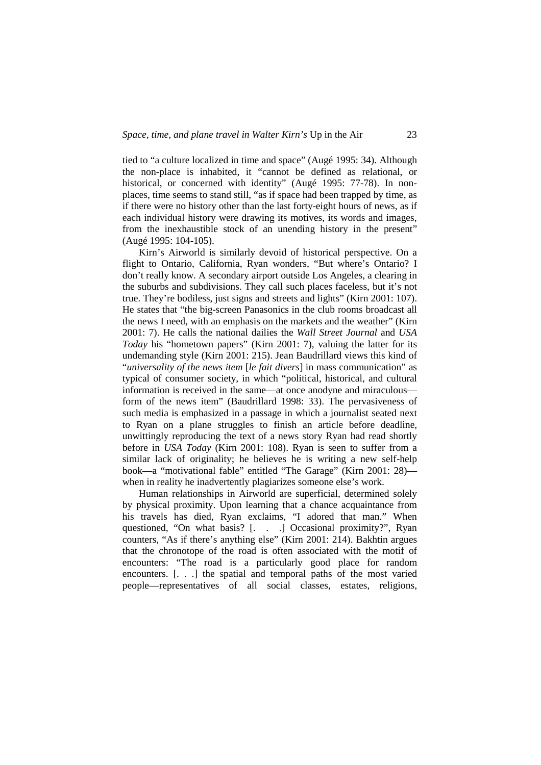tied to "a culture localized in time and space" (Augé 1995: 34). Although the non-place is inhabited, it "cannot be defined as relational, or historical, or concerned with identity" (Augé 1995: 77-78). In nonplaces, time seems to stand still, "as if space had been trapped by time, as if there were no history other than the last forty-eight hours of news, as if each individual history were drawing its motives, its words and images, from the inexhaustible stock of an unending history in the present" (Augé 1995: 104-105).

Kirn's Airworld is similarly devoid of historical perspective. On a flight to Ontario, California, Ryan wonders, "But where's Ontario? I don't really know. A secondary airport outside Los Angeles, a clearing in the suburbs and subdivisions. They call such places faceless, but it's not true. They're bodiless, just signs and streets and lights" (Kirn 2001: 107). He states that "the big-screen Panasonics in the club rooms broadcast all the news I need, with an emphasis on the markets and the weather" (Kirn 2001: 7). He calls the national dailies the *Wall Street Journal* and *USA Today* his "hometown papers" (Kirn 2001: 7), valuing the latter for its undemanding style (Kirn 2001: 215). Jean Baudrillard views this kind of "*universality of the news item* [*le fait divers*] in mass communication" as typical of consumer society, in which "political, historical, and cultural information is received in the same—at once anodyne and miraculous form of the news item" (Baudrillard 1998: 33). The pervasiveness of such media is emphasized in a passage in which a journalist seated next to Ryan on a plane struggles to finish an article before deadline, unwittingly reproducing the text of a news story Ryan had read shortly before in *USA Today* (Kirn 2001: 108). Ryan is seen to suffer from a similar lack of originality; he believes he is writing a new self-help book—a "motivational fable" entitled "The Garage" (Kirn 2001: 28) when in reality he inadvertently plagiarizes someone else's work.

Human relationships in Airworld are superficial, determined solely by physical proximity. Upon learning that a chance acquaintance from his travels has died, Ryan exclaims, "I adored that man." When questioned, "On what basis? [. . .] Occasional proximity?", Ryan counters, "As if there's anything else" (Kirn 2001: 214). Bakhtin argues that the chronotope of the road is often associated with the motif of encounters: "The road is a particularly good place for random encounters. [. . .] the spatial and temporal paths of the most varied people—representatives of all social classes, estates, religions,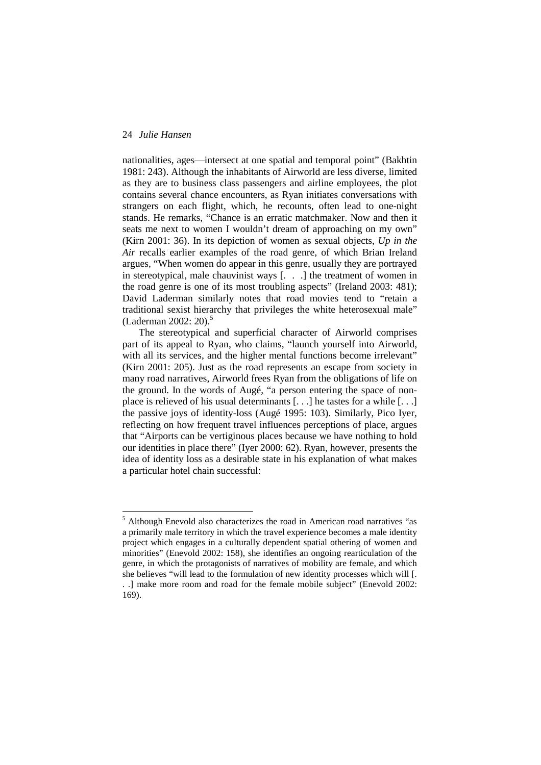$\overline{a}$ 

nationalities, ages—intersect at one spatial and temporal point" (Bakhtin 1981: 243). Although the inhabitants of Airworld are less diverse, limited as they are to business class passengers and airline employees, the plot contains several chance encounters, as Ryan initiates conversations with strangers on each flight, which, he recounts, often lead to one-night stands. He remarks, "Chance is an erratic matchmaker. Now and then it seats me next to women I wouldn't dream of approaching on my own" (Kirn 2001: 36). In its depiction of women as sexual objects, *Up in the Air* recalls earlier examples of the road genre, of which Brian Ireland argues, "When women do appear in this genre, usually they are portrayed in stereotypical, male chauvinist ways [. . .] the treatment of women in the road genre is one of its most troubling aspects" (Ireland 2003: 481); David Laderman similarly notes that road movies tend to "retain a traditional sexist hierarchy that privileges the white heterosexual male" (Laderman 2002: 20).<sup>5</sup>

The stereotypical and superficial character of Airworld comprises part of its appeal to Ryan, who claims, "launch yourself into Airworld, with all its services, and the higher mental functions become irrelevant" (Kirn 2001: 205). Just as the road represents an escape from society in many road narratives, Airworld frees Ryan from the obligations of life on the ground. In the words of Augé, "a person entering the space of nonplace is relieved of his usual determinants [. . .] he tastes for a while [. . .] the passive joys of identity-loss (Augé 1995: 103). Similarly, Pico Iyer, reflecting on how frequent travel influences perceptions of place, argues that "Airports can be vertiginous places because we have nothing to hold our identities in place there" (Iyer 2000: 62). Ryan, however, presents the idea of identity loss as a desirable state in his explanation of what makes a particular hotel chain successful:

<sup>&</sup>lt;sup>5</sup> Although Enevold also characterizes the road in American road narratives "as a primarily male territory in which the travel experience becomes a male identity project which engages in a culturally dependent spatial othering of women and minorities" (Enevold 2002: 158), she identifies an ongoing rearticulation of the genre, in which the protagonists of narratives of mobility are female, and which she believes "will lead to the formulation of new identity processes which will [. . .] make more room and road for the female mobile subject" (Enevold 2002: 169).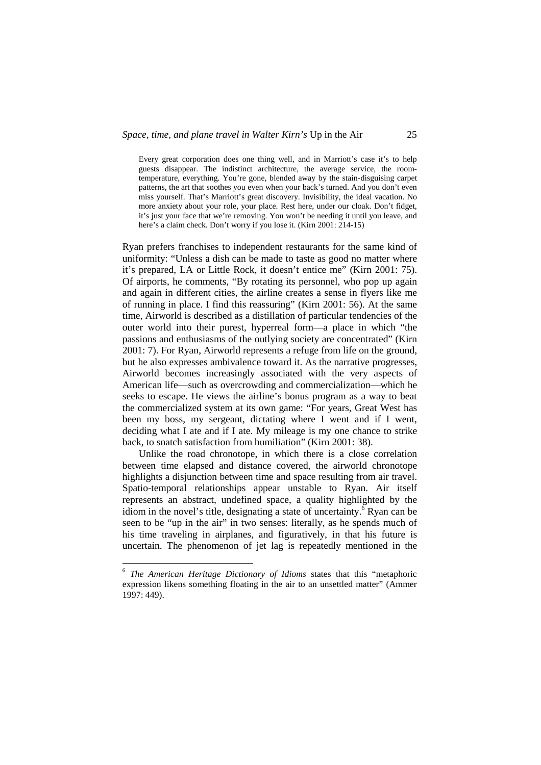Every great corporation does one thing well, and in Marriott's case it's to help guests disappear. The indistinct architecture, the average service, the roomtemperature, everything. You're gone, blended away by the stain-disguising carpet patterns, the art that soothes you even when your back's turned. And you don't even miss yourself. That's Marriott's great discovery. Invisibility, the ideal vacation. No more anxiety about your role, your place. Rest here, under our cloak. Don't fidget, it's just your face that we're removing. You won't be needing it until you leave, and here's a claim check. Don't worry if you lose it. (Kirn 2001: 214-15)

Ryan prefers franchises to independent restaurants for the same kind of uniformity: "Unless a dish can be made to taste as good no matter where it's prepared, LA or Little Rock, it doesn't entice me" (Kirn 2001: 75). Of airports, he comments, "By rotating its personnel, who pop up again and again in different cities, the airline creates a sense in flyers like me of running in place. I find this reassuring" (Kirn 2001: 56). At the same time, Airworld is described as a distillation of particular tendencies of the outer world into their purest, hyperreal form—a place in which "the passions and enthusiasms of the outlying society are concentrated" (Kirn 2001: 7). For Ryan, Airworld represents a refuge from life on the ground, but he also expresses ambivalence toward it. As the narrative progresses, Airworld becomes increasingly associated with the very aspects of American life—such as overcrowding and commercialization—which he seeks to escape. He views the airline's bonus program as a way to beat the commercialized system at its own game: "For years, Great West has been my boss, my sergeant, dictating where I went and if I went, deciding what I ate and if I ate. My mileage is my one chance to strike back, to snatch satisfaction from humiliation" (Kirn 2001: 38).

Unlike the road chronotope, in which there is a close correlation between time elapsed and distance covered, the airworld chronotope highlights a disjunction between time and space resulting from air travel. Spatio-temporal relationships appear unstable to Ryan. Air itself represents an abstract, undefined space, a quality highlighted by the idiom in the novel's title, designating a state of uncertainty.<sup> $\delta$ </sup> Ryan can be seen to be "up in the air" in two senses: literally, as he spends much of his time traveling in airplanes, and figuratively, in that his future is uncertain. The phenomenon of jet lag is repeatedly mentioned in the

 $\overline{a}$ 

<sup>6</sup> *The American Heritage Dictionary of Idioms* states that this "metaphoric expression likens something floating in the air to an unsettled matter" (Ammer 1997: 449).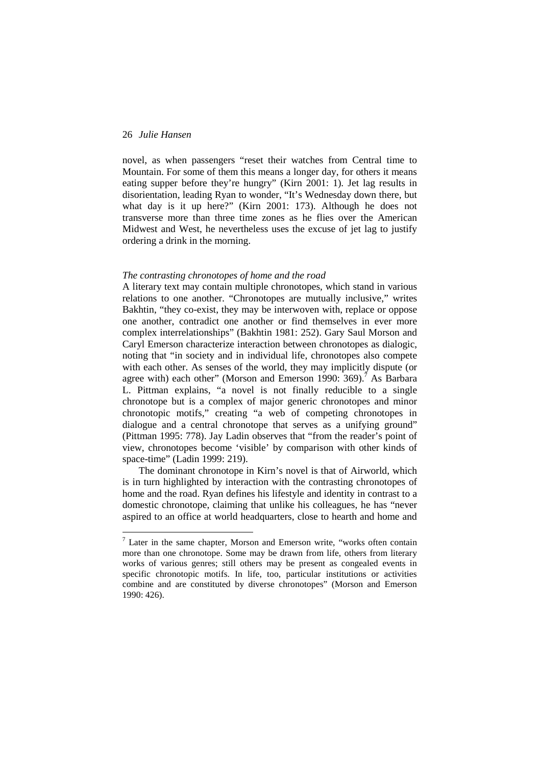$\overline{a}$ 

novel, as when passengers "reset their watches from Central time to Mountain. For some of them this means a longer day, for others it means eating supper before they're hungry" (Kirn 2001: 1). Jet lag results in disorientation, leading Ryan to wonder, "It's Wednesday down there, but what day is it up here?" (Kirn 2001: 173). Although he does not transverse more than three time zones as he flies over the American Midwest and West, he nevertheless uses the excuse of jet lag to justify ordering a drink in the morning.

## *The contrasting chronotopes of home and the road*

A literary text may contain multiple chronotopes, which stand in various relations to one another. "Chronotopes are mutually inclusive," writes Bakhtin, "they co-exist, they may be interwoven with, replace or oppose one another, contradict one another or find themselves in ever more complex interrelationships" (Bakhtin 1981: 252). Gary Saul Morson and Caryl Emerson characterize interaction between chronotopes as dialogic, noting that "in society and in individual life, chronotopes also compete with each other. As senses of the world, they may implicitly dispute (or agree with) each other" (Morson and Emerson 1990:  $369$ ).<sup>7</sup> As Barbara L. Pittman explains, "a novel is not finally reducible to a single chronotope but is a complex of major generic chronotopes and minor chronotopic motifs," creating "a web of competing chronotopes in dialogue and a central chronotope that serves as a unifying ground" (Pittman 1995: 778). Jay Ladin observes that "from the reader's point of view, chronotopes become 'visible' by comparison with other kinds of space-time" (Ladin 1999: 219).

The dominant chronotope in Kirn's novel is that of Airworld, which is in turn highlighted by interaction with the contrasting chronotopes of home and the road. Ryan defines his lifestyle and identity in contrast to a domestic chronotope, claiming that unlike his colleagues, he has "never aspired to an office at world headquarters, close to hearth and home and

 $7$  Later in the same chapter, Morson and Emerson write, "works often contain more than one chronotope. Some may be drawn from life, others from literary works of various genres; still others may be present as congealed events in specific chronotopic motifs. In life, too, particular institutions or activities combine and are constituted by diverse chronotopes" (Morson and Emerson 1990: 426).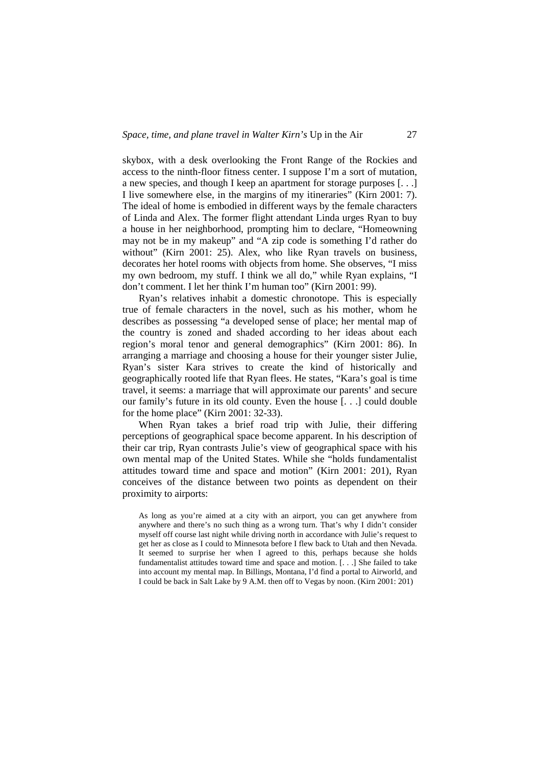skybox, with a desk overlooking the Front Range of the Rockies and access to the ninth-floor fitness center. I suppose I'm a sort of mutation, a new species, and though I keep an apartment for storage purposes [. . .] I live somewhere else, in the margins of my itineraries" (Kirn 2001: 7). The ideal of home is embodied in different ways by the female characters of Linda and Alex. The former flight attendant Linda urges Ryan to buy a house in her neighborhood, prompting him to declare, "Homeowning may not be in my makeup" and "A zip code is something I'd rather do without" (Kirn 2001: 25). Alex, who like Ryan travels on business, decorates her hotel rooms with objects from home. She observes, "I miss my own bedroom, my stuff. I think we all do," while Ryan explains, "I don't comment. I let her think I'm human too" (Kirn 2001: 99).

Ryan's relatives inhabit a domestic chronotope. This is especially true of female characters in the novel, such as his mother, whom he describes as possessing "a developed sense of place; her mental map of the country is zoned and shaded according to her ideas about each region's moral tenor and general demographics" (Kirn 2001: 86). In arranging a marriage and choosing a house for their younger sister Julie, Ryan's sister Kara strives to create the kind of historically and geographically rooted life that Ryan flees. He states, "Kara's goal is time travel, it seems: a marriage that will approximate our parents' and secure our family's future in its old county. Even the house [. . .] could double for the home place" (Kirn 2001: 32-33).

When Ryan takes a brief road trip with Julie, their differing perceptions of geographical space become apparent. In his description of their car trip, Ryan contrasts Julie's view of geographical space with his own mental map of the United States. While she "holds fundamentalist attitudes toward time and space and motion" (Kirn 2001: 201), Ryan conceives of the distance between two points as dependent on their proximity to airports:

As long as you're aimed at a city with an airport, you can get anywhere from anywhere and there's no such thing as a wrong turn. That's why I didn't consider myself off course last night while driving north in accordance with Julie's request to get her as close as I could to Minnesota before I flew back to Utah and then Nevada. It seemed to surprise her when I agreed to this, perhaps because she holds fundamentalist attitudes toward time and space and motion. [. . .] She failed to take into account my mental map. In Billings, Montana, I'd find a portal to Airworld, and I could be back in Salt Lake by 9 A.M. then off to Vegas by noon. (Kirn 2001: 201)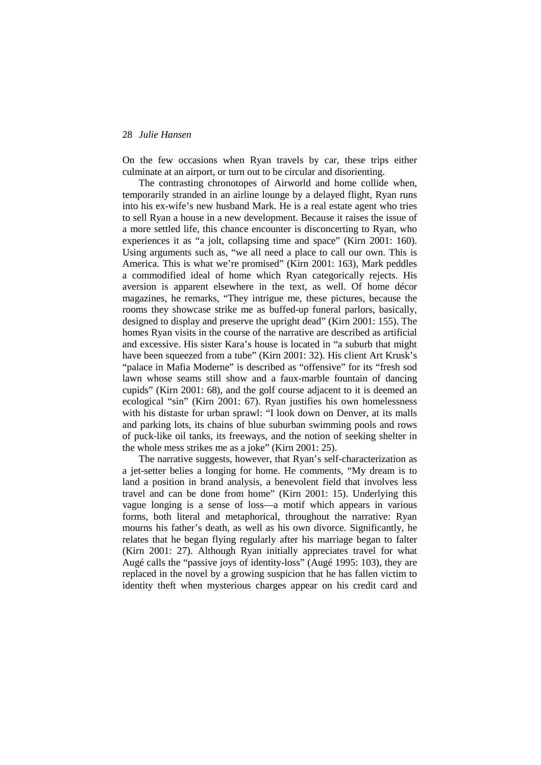On the few occasions when Ryan travels by car, these trips either culminate at an airport, or turn out to be circular and disorienting.

The contrasting chronotopes of Airworld and home collide when, temporarily stranded in an airline lounge by a delayed flight, Ryan runs into his ex-wife's new husband Mark. He is a real estate agent who tries to sell Ryan a house in a new development. Because it raises the issue of a more settled life, this chance encounter is disconcerting to Ryan, who experiences it as "a jolt, collapsing time and space" (Kirn 2001: 160). Using arguments such as, "we all need a place to call our own. This is America. This is what we're promised" (Kirn 2001: 163), Mark peddles a commodified ideal of home which Ryan categorically rejects. His aversion is apparent elsewhere in the text, as well. Of home décor magazines, he remarks, "They intrigue me, these pictures, because the rooms they showcase strike me as buffed-up funeral parlors, basically, designed to display and preserve the upright dead" (Kirn 2001: 155). The homes Ryan visits in the course of the narrative are described as artificial and excessive. His sister Kara's house is located in "a suburb that might have been squeezed from a tube" (Kirn 2001: 32). His client Art Krusk's "palace in Mafia Moderne" is described as "offensive" for its "fresh sod lawn whose seams still show and a faux-marble fountain of dancing cupids" (Kirn 2001: 68), and the golf course adjacent to it is deemed an ecological "sin" (Kirn 2001: 67). Ryan justifies his own homelessness with his distaste for urban sprawl: "I look down on Denver, at its malls and parking lots, its chains of blue suburban swimming pools and rows of puck-like oil tanks, its freeways, and the notion of seeking shelter in the whole mess strikes me as a joke" (Kirn 2001: 25).

The narrative suggests, however, that Ryan's self-characterization as a jet-setter belies a longing for home. He comments, "My dream is to land a position in brand analysis, a benevolent field that involves less travel and can be done from home" (Kirn 2001: 15). Underlying this vague longing is a sense of loss—a motif which appears in various forms, both literal and metaphorical, throughout the narrative: Ryan mourns his father's death, as well as his own divorce. Significantly, he relates that he began flying regularly after his marriage began to falter (Kirn 2001: 27). Although Ryan initially appreciates travel for what Augé calls the "passive joys of identity-loss" (Augé 1995: 103), they are replaced in the novel by a growing suspicion that he has fallen victim to identity theft when mysterious charges appear on his credit card and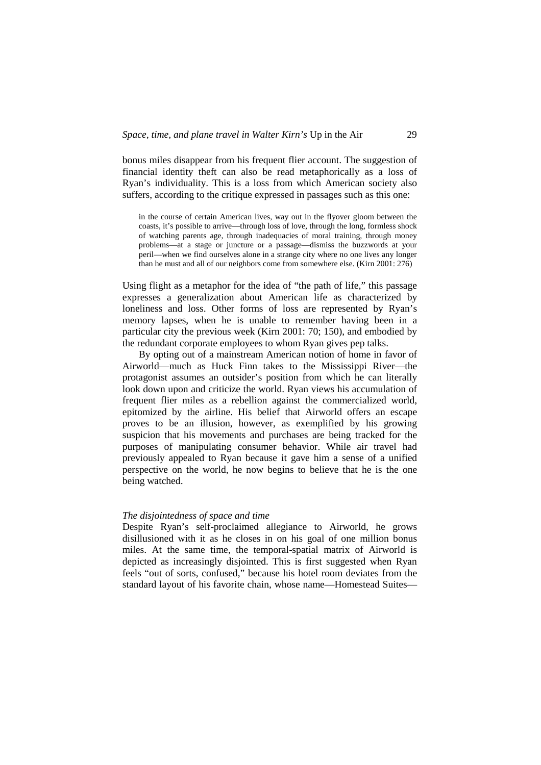bonus miles disappear from his frequent flier account. The suggestion of financial identity theft can also be read metaphorically as a loss of Ryan's individuality. This is a loss from which American society also suffers, according to the critique expressed in passages such as this one:

in the course of certain American lives, way out in the flyover gloom between the coasts, it's possible to arrive—through loss of love, through the long, formless shock of watching parents age, through inadequacies of moral training, through money problems—at a stage or juncture or a passage—dismiss the buzzwords at your peril—when we find ourselves alone in a strange city where no one lives any longer than he must and all of our neighbors come from somewhere else. (Kirn 2001: 276)

Using flight as a metaphor for the idea of "the path of life," this passage expresses a generalization about American life as characterized by loneliness and loss. Other forms of loss are represented by Ryan's memory lapses, when he is unable to remember having been in a particular city the previous week (Kirn 2001: 70; 150), and embodied by the redundant corporate employees to whom Ryan gives pep talks.

By opting out of a mainstream American notion of home in favor of Airworld—much as Huck Finn takes to the Mississippi River—the protagonist assumes an outsider's position from which he can literally look down upon and criticize the world. Ryan views his accumulation of frequent flier miles as a rebellion against the commercialized world, epitomized by the airline. His belief that Airworld offers an escape proves to be an illusion, however, as exemplified by his growing suspicion that his movements and purchases are being tracked for the purposes of manipulating consumer behavior. While air travel had previously appealed to Ryan because it gave him a sense of a unified perspective on the world, he now begins to believe that he is the one being watched.

#### *The disjointedness of space and time*

Despite Ryan's self-proclaimed allegiance to Airworld, he grows disillusioned with it as he closes in on his goal of one million bonus miles. At the same time, the temporal-spatial matrix of Airworld is depicted as increasingly disjointed. This is first suggested when Ryan feels "out of sorts, confused," because his hotel room deviates from the standard layout of his favorite chain, whose name—Homestead Suites—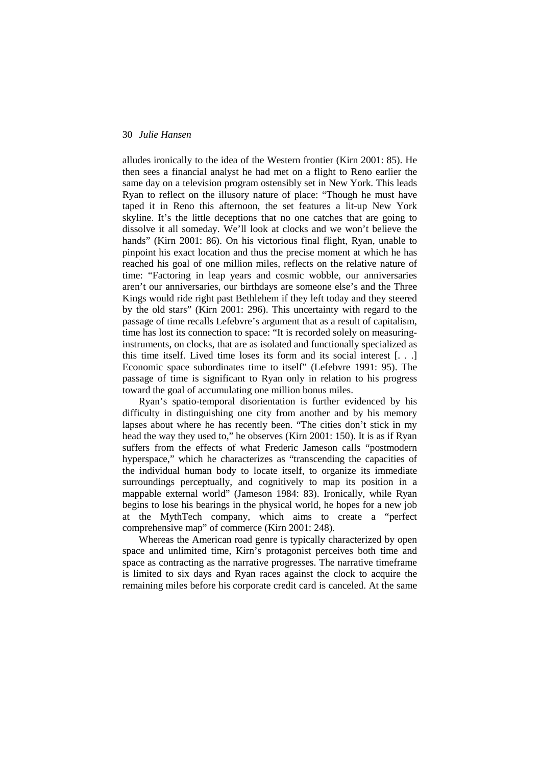alludes ironically to the idea of the Western frontier (Kirn 2001: 85). He then sees a financial analyst he had met on a flight to Reno earlier the same day on a television program ostensibly set in New York. This leads Ryan to reflect on the illusory nature of place: "Though he must have taped it in Reno this afternoon, the set features a lit-up New York skyline. It's the little deceptions that no one catches that are going to dissolve it all someday. We'll look at clocks and we won't believe the hands" (Kirn 2001: 86). On his victorious final flight, Ryan, unable to pinpoint his exact location and thus the precise moment at which he has reached his goal of one million miles, reflects on the relative nature of time: "Factoring in leap years and cosmic wobble, our anniversaries aren't our anniversaries, our birthdays are someone else's and the Three Kings would ride right past Bethlehem if they left today and they steered by the old stars" (Kirn 2001: 296). This uncertainty with regard to the passage of time recalls Lefebvre's argument that as a result of capitalism, time has lost its connection to space: "It is recorded solely on measuringinstruments, on clocks, that are as isolated and functionally specialized as this time itself. Lived time loses its form and its social interest [. . .] Economic space subordinates time to itself" (Lefebvre 1991: 95). The passage of time is significant to Ryan only in relation to his progress toward the goal of accumulating one million bonus miles.

Ryan's spatio-temporal disorientation is further evidenced by his difficulty in distinguishing one city from another and by his memory lapses about where he has recently been. "The cities don't stick in my head the way they used to," he observes (Kirn 2001: 150). It is as if Ryan suffers from the effects of what Frederic Jameson calls "postmodern hyperspace," which he characterizes as "transcending the capacities of the individual human body to locate itself, to organize its immediate surroundings perceptually, and cognitively to map its position in a mappable external world" (Jameson 1984: 83). Ironically, while Ryan begins to lose his bearings in the physical world, he hopes for a new job at the MythTech company, which aims to create a "perfect comprehensive map" of commerce (Kirn 2001: 248).

Whereas the American road genre is typically characterized by open space and unlimited time, Kirn's protagonist perceives both time and space as contracting as the narrative progresses. The narrative timeframe is limited to six days and Ryan races against the clock to acquire the remaining miles before his corporate credit card is canceled. At the same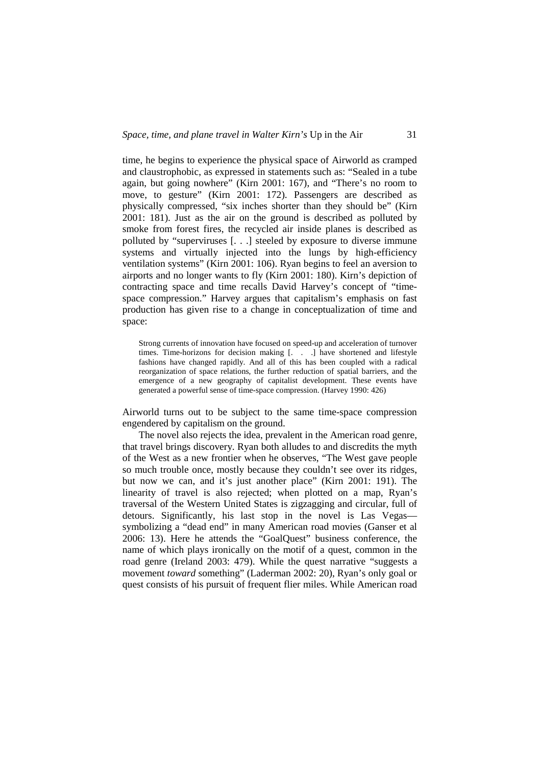time, he begins to experience the physical space of Airworld as cramped and claustrophobic, as expressed in statements such as: "Sealed in a tube again, but going nowhere" (Kirn 2001: 167), and "There's no room to move, to gesture" (Kirn 2001: 172). Passengers are described as physically compressed, "six inches shorter than they should be" (Kirn 2001: 181). Just as the air on the ground is described as polluted by smoke from forest fires, the recycled air inside planes is described as polluted by "superviruses [. . .] steeled by exposure to diverse immune systems and virtually injected into the lungs by high-efficiency ventilation systems" (Kirn 2001: 106). Ryan begins to feel an aversion to airports and no longer wants to fly (Kirn 2001: 180). Kirn's depiction of contracting space and time recalls David Harvey's concept of "timespace compression." Harvey argues that capitalism's emphasis on fast production has given rise to a change in conceptualization of time and space:

Strong currents of innovation have focused on speed-up and acceleration of turnover times. Time-horizons for decision making [. . .] have shortened and lifestyle fashions have changed rapidly. And all of this has been coupled with a radical reorganization of space relations, the further reduction of spatial barriers, and the emergence of a new geography of capitalist development. These events have generated a powerful sense of time-space compression. (Harvey 1990: 426)

Airworld turns out to be subject to the same time-space compression engendered by capitalism on the ground.

The novel also rejects the idea, prevalent in the American road genre, that travel brings discovery. Ryan both alludes to and discredits the myth of the West as a new frontier when he observes, "The West gave people so much trouble once, mostly because they couldn't see over its ridges, but now we can, and it's just another place" (Kirn 2001: 191). The linearity of travel is also rejected; when plotted on a map, Ryan's traversal of the Western United States is zigzagging and circular, full of detours. Significantly, his last stop in the novel is Las Vegas symbolizing a "dead end" in many American road movies (Ganser et al 2006: 13). Here he attends the "GoalQuest" business conference, the name of which plays ironically on the motif of a quest, common in the road genre (Ireland 2003: 479). While the quest narrative "suggests a movement *toward* something" (Laderman 2002: 20), Ryan's only goal or quest consists of his pursuit of frequent flier miles. While American road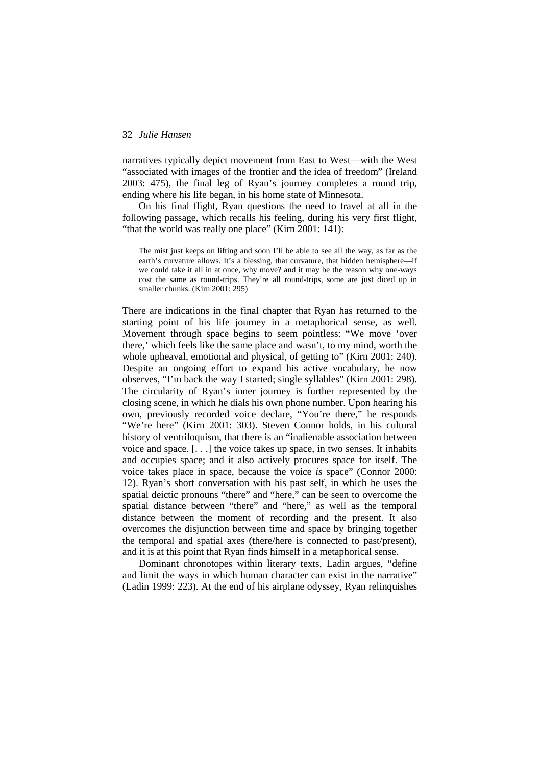narratives typically depict movement from East to West—with the West "associated with images of the frontier and the idea of freedom" (Ireland 2003: 475), the final leg of Ryan's journey completes a round trip, ending where his life began, in his home state of Minnesota.

On his final flight, Ryan questions the need to travel at all in the following passage, which recalls his feeling, during his very first flight, "that the world was really one place" (Kirn 2001: 141):

The mist just keeps on lifting and soon I'll be able to see all the way, as far as the earth's curvature allows. It's a blessing, that curvature, that hidden hemisphere—if we could take it all in at once, why move? and it may be the reason why one-ways cost the same as round-trips. They're all round-trips, some are just diced up in smaller chunks. (Kirn 2001: 295)

There are indications in the final chapter that Ryan has returned to the starting point of his life journey in a metaphorical sense, as well. Movement through space begins to seem pointless: "We move 'over there,' which feels like the same place and wasn't, to my mind, worth the whole upheaval, emotional and physical, of getting to" (Kirn 2001: 240). Despite an ongoing effort to expand his active vocabulary, he now observes, "I'm back the way I started; single syllables" (Kirn 2001: 298). The circularity of Ryan's inner journey is further represented by the closing scene, in which he dials his own phone number. Upon hearing his own, previously recorded voice declare, "You're there," he responds "We're here" (Kirn 2001: 303). Steven Connor holds, in his cultural history of ventriloquism, that there is an "inalienable association between voice and space. [. . .] the voice takes up space, in two senses. It inhabits and occupies space; and it also actively procures space for itself. The voice takes place in space, because the voice *is* space" (Connor 2000: 12). Ryan's short conversation with his past self, in which he uses the spatial deictic pronouns "there" and "here," can be seen to overcome the spatial distance between "there" and "here," as well as the temporal distance between the moment of recording and the present. It also overcomes the disjunction between time and space by bringing together the temporal and spatial axes (there/here is connected to past/present), and it is at this point that Ryan finds himself in a metaphorical sense.

Dominant chronotopes within literary texts, Ladin argues, "define and limit the ways in which human character can exist in the narrative" (Ladin 1999: 223). At the end of his airplane odyssey, Ryan relinquishes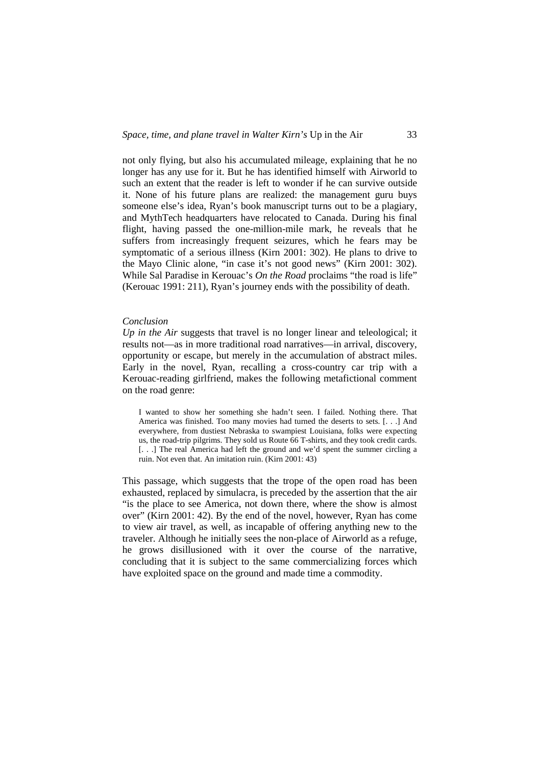not only flying, but also his accumulated mileage, explaining that he no longer has any use for it. But he has identified himself with Airworld to such an extent that the reader is left to wonder if he can survive outside it. None of his future plans are realized: the management guru buys someone else's idea, Ryan's book manuscript turns out to be a plagiary, and MythTech headquarters have relocated to Canada. During his final flight, having passed the one-million-mile mark, he reveals that he suffers from increasingly frequent seizures, which he fears may be symptomatic of a serious illness (Kirn 2001: 302). He plans to drive to the Mayo Clinic alone, "in case it's not good news" (Kirn 2001: 302). While Sal Paradise in Kerouac's *On the Road* proclaims "the road is life" (Kerouac 1991: 211), Ryan's journey ends with the possibility of death.

#### *Conclusion*

*Up in the Air* suggests that travel is no longer linear and teleological; it results not—as in more traditional road narratives—in arrival, discovery, opportunity or escape, but merely in the accumulation of abstract miles. Early in the novel, Ryan, recalling a cross-country car trip with a Kerouac-reading girlfriend, makes the following metafictional comment on the road genre:

I wanted to show her something she hadn't seen. I failed. Nothing there. That America was finished. Too many movies had turned the deserts to sets. [. . .] And everywhere, from dustiest Nebraska to swampiest Louisiana, folks were expecting us, the road-trip pilgrims. They sold us Route 66 T-shirts, and they took credit cards. [. . .] The real America had left the ground and we'd spent the summer circling a ruin. Not even that. An imitation ruin. (Kirn 2001: 43)

This passage, which suggests that the trope of the open road has been exhausted, replaced by simulacra, is preceded by the assertion that the air "is the place to see America, not down there, where the show is almost over" (Kirn 2001: 42). By the end of the novel, however, Ryan has come to view air travel, as well, as incapable of offering anything new to the traveler. Although he initially sees the non-place of Airworld as a refuge, he grows disillusioned with it over the course of the narrative, concluding that it is subject to the same commercializing forces which have exploited space on the ground and made time a commodity.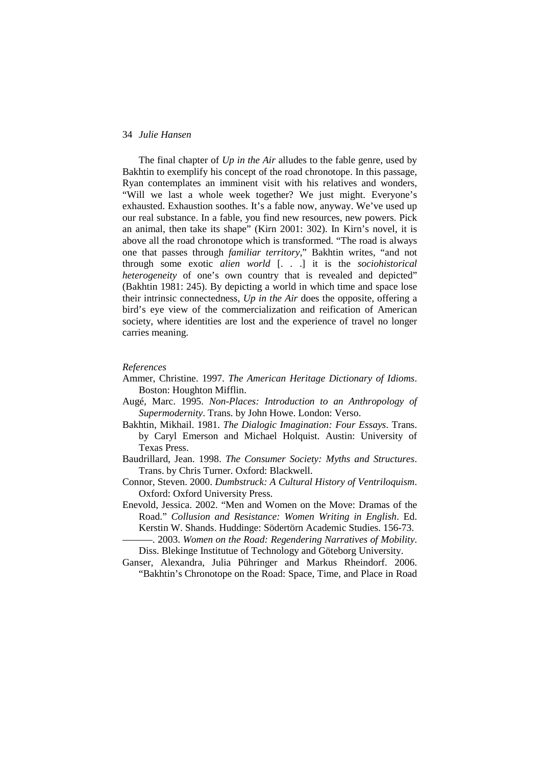The final chapter of *Up in the Air* alludes to the fable genre, used by Bakhtin to exemplify his concept of the road chronotope. In this passage, Ryan contemplates an imminent visit with his relatives and wonders, "Will we last a whole week together? We just might. Everyone's exhausted. Exhaustion soothes. It's a fable now, anyway. We've used up our real substance. In a fable, you find new resources, new powers. Pick an animal, then take its shape" (Kirn 2001: 302). In Kirn's novel, it is above all the road chronotope which is transformed. "The road is always one that passes through *familiar territory*," Bakhtin writes, "and not through some exotic *alien world* [. . .] it is the *sociohistorical heterogeneity* of one's own country that is revealed and depicted" (Bakhtin 1981: 245). By depicting a world in which time and space lose their intrinsic connectedness, *Up in the Air* does the opposite, offering a bird's eye view of the commercialization and reification of American society, where identities are lost and the experience of travel no longer carries meaning.

#### *References*

- Ammer, Christine. 1997. *The American Heritage Dictionary of Idioms*. Boston: Houghton Mifflin.
- Augé, Marc. 1995. *Non-Places: Introduction to an Anthropology of Supermodernity*. Trans. by John Howe. London: Verso.
- Bakhtin, Mikhail. 1981. *The Dialogic Imagination: Four Essays*. Trans. by Caryl Emerson and Michael Holquist. Austin: University of Texas Press.
- Baudrillard, Jean. 1998. *The Consumer Society: Myths and Structures*. Trans. by Chris Turner. Oxford: Blackwell.
- Connor, Steven. 2000. *Dumbstruck: A Cultural History of Ventriloquism*. Oxford: Oxford University Press.
- Enevold, Jessica. 2002. "Men and Women on the Move: Dramas of the Road." *Collusion and Resistance: Women Writing in English*. Ed. Kerstin W. Shands. Huddinge: Södertörn Academic Studies. 156-73.  $-$ . 2003. *Women on the Road: Regendering Narratives of Mobility*.
	- Diss. Blekinge Institutue of Technology and Göteborg University.
- Ganser, Alexandra, Julia Pühringer and Markus Rheindorf. 2006. "Bakhtin's Chronotope on the Road: Space, Time, and Place in Road